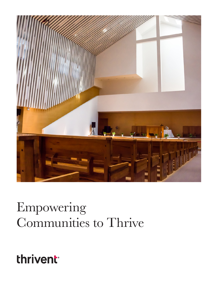

# Empowering Communities to Thrive

thrivent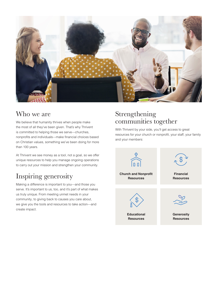

#### Who we are

We believe that humanity thrives when people make the most of all they've been given. That's why Thrivent is committed to helping those we serve—churches, nonprofits and individuals—make financial choices based on Christian values, something we've been doing for more than 100 years.

At Thrivent we see money as a tool, not a goal, so we offer unique resources to help you manage ongoing operations to carry out your mission and strengthen your community.

### Inspiring generosity

Making a difference is important to you—and those you serve. It's important to us, too, and it's part of what makes us truly unique. From meeting unmet needs in your community, to giving back to causes you care about, we give you the tools and resources to take action—and create impact.

### Strengthening communities together

With Thrivent by your side, you'll get access to great resources for your church or nonprofit, your staff, your family and your members:

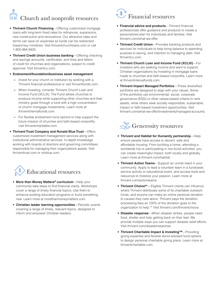### Church and nonprofit resources

- **Thrivent Church Financing**—Offering customized mortgage loans with long-term fixed rates for refinances, expansions, new construction and renovations. Our attractive rates and terms can save on expenses so funds can be redirected toward key ministries. Visit thriventchurchloans.com or call 1-800-984-9425.
- **Thrivent Credit Union business banking**—Offering checking and savings accounts, certificates, and lines and letters of credit for churches and organizations, subject to credit approval. Visit thriventcu.com.
- **Endowment/foundation/business asset management** 
	- **–** Invest for your church or institution by working with a Thrivent financial professional or visit thriventfunds.com.
	- **–** When investing, consider Thrivent Church Loan and Income Fund (XCLIX). The Fund allows churches to produce income while supporting other churches and their ministry goals through a fund with a high concentration of church mortgage investments. Learn more at thriventintervalfunds.com.
	- **–** For flexible endowment fund options to help support the future mission of churches and faith-based nonprofits, visit thriventcharitable.com.
- **Thrivent Trust Company and Ronald Blue Trust**—Offers customized investment management services along with institutional administrative services. In-depth knowledge working with boards of directors and governing committees responsible for managing their organizations assets. Visit thriventtrust.com or ronblue.com.



- **More than Money Matters® curriculum**—Help your community take steps to find financial clarity. Workshops cover a range of timely financial topics. Use them to enhance existing education programs or build something new. Learn more at morethanmoneymatters.com.
- **Christian leader learning opportunities**—Periodic events covering a range of timely, relevant topics, designed to inform and empower Christian leaders.

## $\left(\begin{matrix} \mathbb{S}^{\mathbb{N}} \\ \mathbb{S} \end{matrix}\right)$  Financial resources

- **Financial advice and products**—Thrivent financial professionals offer guidance and products to create a personalized plan for individuals and families. Visit thrivent.com/what-we-offer.
- **Thrivent Credit Union**—Provides banking products and services for individuals to help bring balance to spending, purpose to saving, and intention to managing debt. Visit thriventcu.com.
- **Thrivent Church Loan and Income Fund (XCLIX)**—For investors who are seeking income and want to support Christian organizations by investing in mortgage loans made to churches and faith-based nonprofits. Learn more at thriventintervalfunds.com.
- **Thrivent Impact Managed Portfolios**—These diversified portfolios are designed to align with your values. Some of the portfolios use environmental, social, corporate governance (ESG) or other values-based criteria to rank assets, while others seek socially responsible, sustainable, impact or faith-based investment opportunities. Visit thrivent.com/what-we-offer/investments/managed-accounts.

### $\gg$  Generosity resources

- **Thrivent and Habitat for Humanity partnership**—Help ensure people have access to decent, safe and affordable housing. From building a home, attending a worldwide trip or participating in non-build activities, you can create meaningful impact, both locally and globally. Learn more at thrivent.com/habitat.
- **Thrivent Action Teams**—Support an unmet need in your community. Apply to lead a volunteer team in a fundraiser, service activity or educational event, and access tools and resources to mobilize your passion. Learn more at thrivent.com/actionteams.
- **Thrivent Choice®\***—Eligible Thrivent clients can influence where Thrivent distributes some of its charitable outreach funds, and anyone can make an online personal donation to causes they care about. Thrivent pays the donation processing fees so 100% of the donation goes to the organization to help.\*\* Visit thrivent.com/thriventchoice.
- **Disaster response**—When disaster strikes, people need food, shelter and help getting back on their feet. We provide multiple ways you can support disaster relief efforts. Visit thrivent.com/disasterresponse.
- **Thrivent Charitable Impact & Investing™**—Providing giving expertise and flexible donor-advised fund options to design personal charitable giving plans. Learn more at thriventcharitable.com.